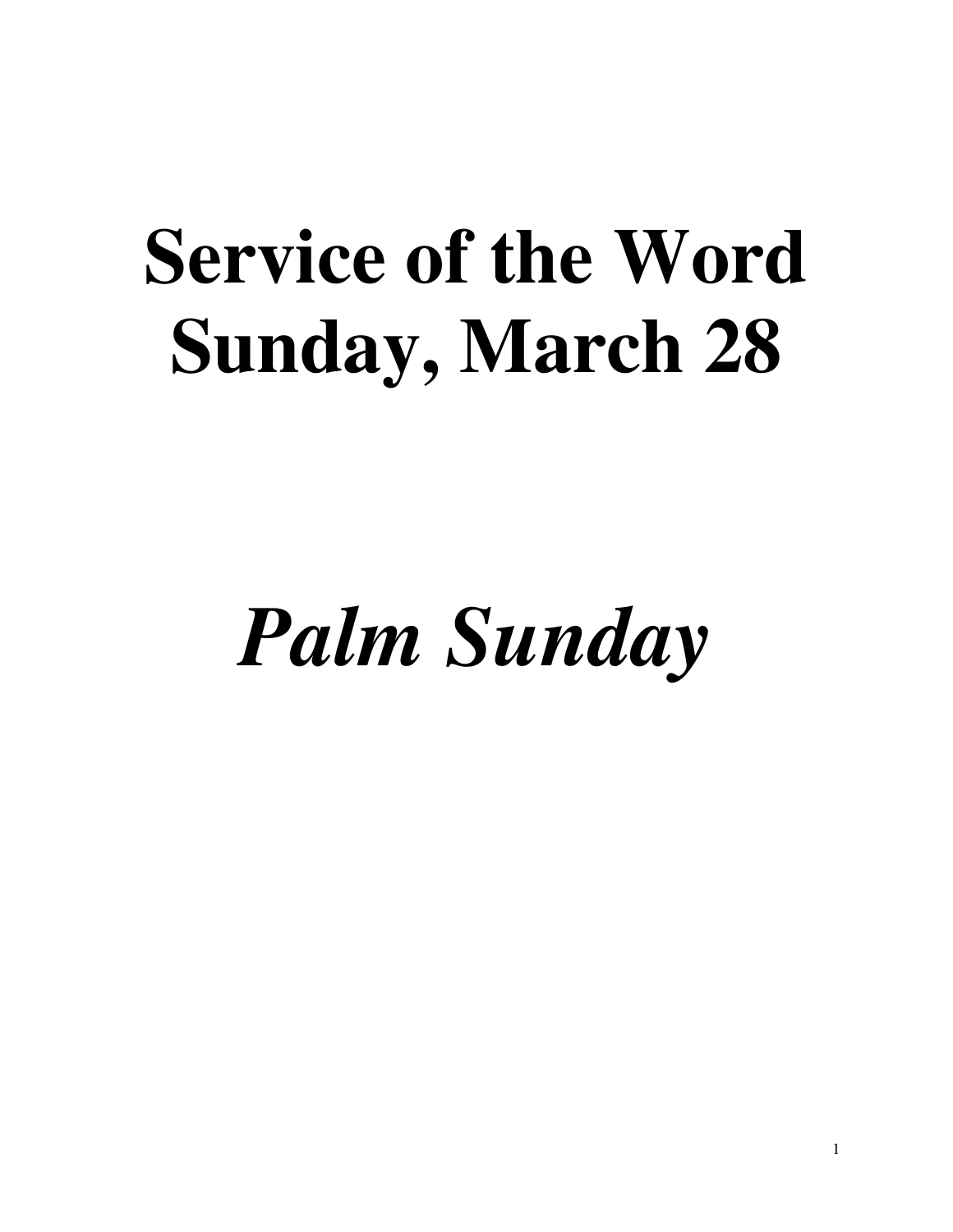# **Service of the Word Sunday, March 28**

# *Palm Sunday*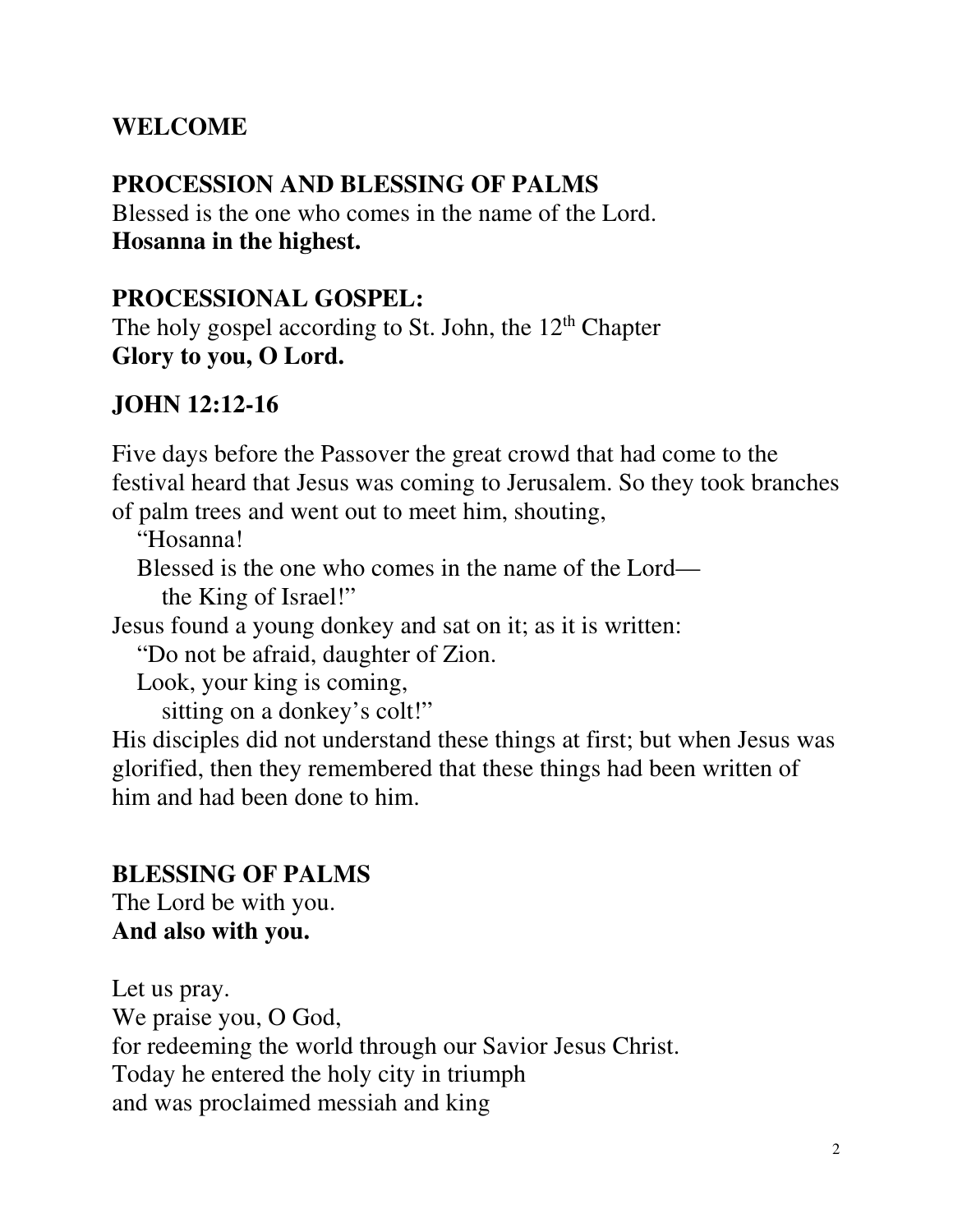## **WELCOME**

## **PROCESSION AND BLESSING OF PALMS**

Blessed is the one who comes in the name of the Lord. **Hosanna in the highest.** 

#### **PROCESSIONAL GOSPEL:**

The holy gospel according to St. John, the  $12<sup>th</sup>$  Chapter **Glory to you, O Lord.** 

#### **JOHN 12:12-16**

Five days before the Passover the great crowd that had come to the festival heard that Jesus was coming to Jerusalem. So they took branches of palm trees and went out to meet him, shouting,

"Hosanna!

 Blessed is the one who comes in the name of the Lord the King of Israel!"

Jesus found a young donkey and sat on it; as it is written:

"Do not be afraid, daughter of Zion.

Look, your king is coming,

sitting on a donkey's colt!"

His disciples did not understand these things at first; but when Jesus was glorified, then they remembered that these things had been written of him and had been done to him.

#### **BLESSING OF PALMS**

The Lord be with you. **And also with you.** 

Let us pray. We praise you, O God, for redeeming the world through our Savior Jesus Christ. Today he entered the holy city in triumph and was proclaimed messiah and king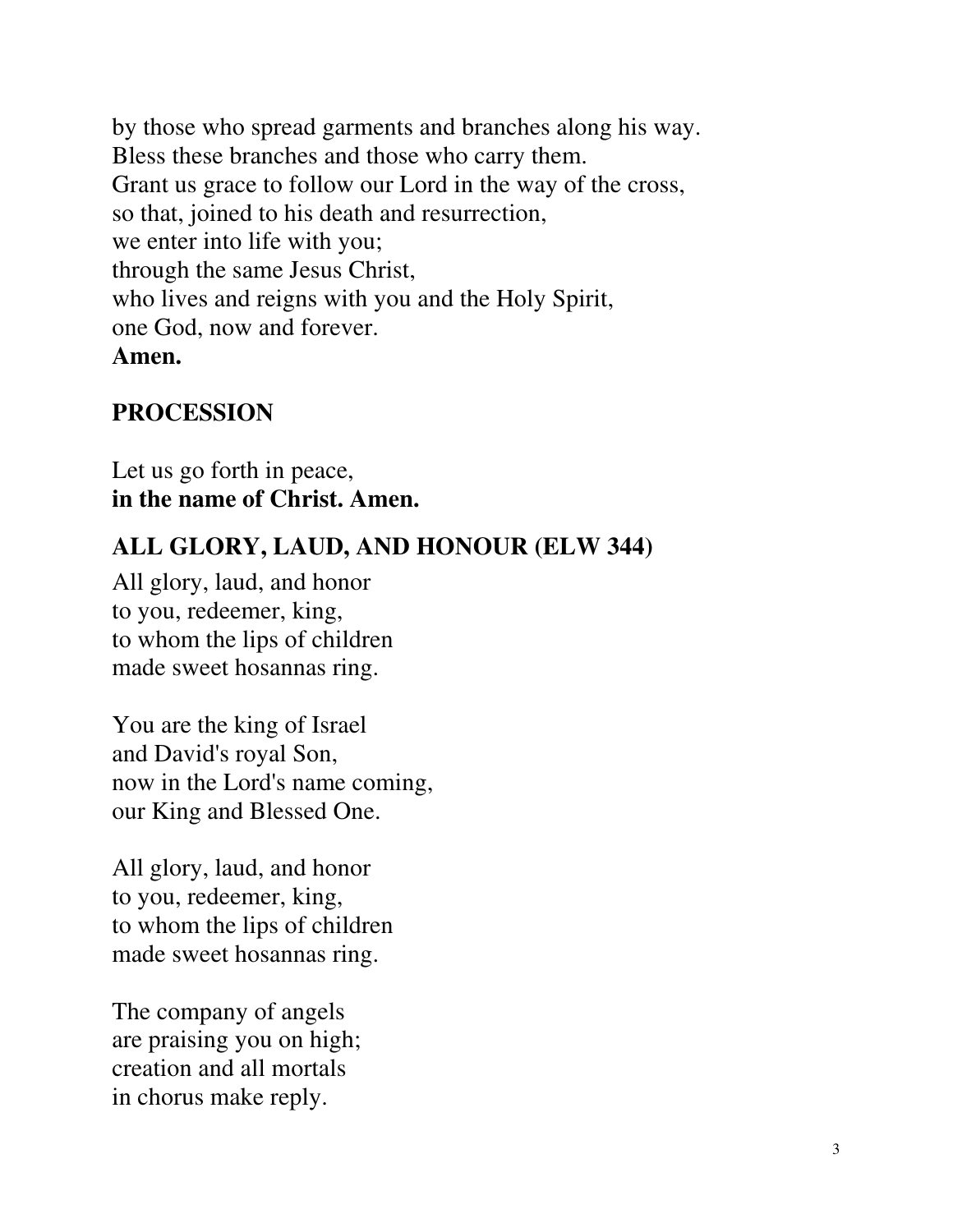by those who spread garments and branches along his way. Bless these branches and those who carry them. Grant us grace to follow our Lord in the way of the cross, so that, joined to his death and resurrection, we enter into life with you; through the same Jesus Christ, who lives and reigns with you and the Holy Spirit, one God, now and forever. **Amen.** 

#### **PROCESSION**

Let us go forth in peace, **in the name of Christ. Amen.** 

#### **ALL GLORY, LAUD, AND HONOUR (ELW 344)**

All glory, laud, and honor to you, redeemer, king, to whom the lips of children made sweet hosannas ring.

You are the king of Israel and David's royal Son, now in the Lord's name coming, our King and Blessed One.

All glory, laud, and honor to you, redeemer, king, to whom the lips of children made sweet hosannas ring.

The company of angels are praising you on high; creation and all mortals in chorus make reply.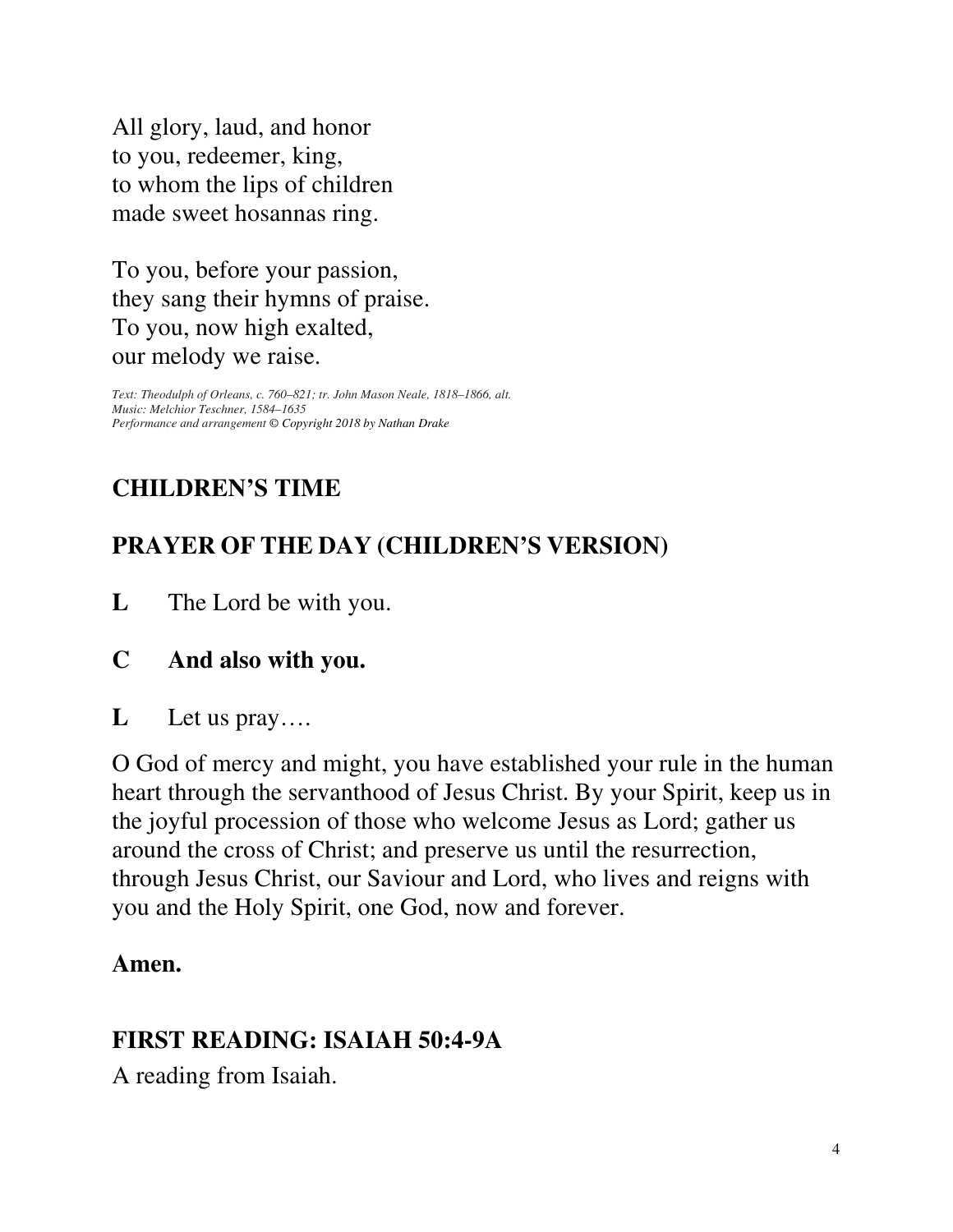All glory, laud, and honor to you, redeemer, king, to whom the lips of children made sweet hosannas ring.

To you, before your passion, they sang their hymns of praise. To you, now high exalted, our melody we raise.

*Text: Theodulph of Orleans, c. 760–821; tr. John Mason Neale, 1818–1866, alt. Music: Melchior Teschner, 1584–1635 Performance and arrangement © Copyright 2018 by Nathan Drake* 

## **CHILDREN'S TIME**

# **PRAYER OF THE DAY (CHILDREN'S VERSION)**

**L** The Lord be with you.

## **C And also with you.**

**L** Let us pray….

O God of mercy and might, you have established your rule in the human heart through the servanthood of Jesus Christ. By your Spirit, keep us in the joyful procession of those who welcome Jesus as Lord; gather us around the cross of Christ; and preserve us until the resurrection, through Jesus Christ, our Saviour and Lord, who lives and reigns with you and the Holy Spirit, one God, now and forever.

#### **Amen.**

## **FIRST READING: ISAIAH 50:4-9A**

A reading from Isaiah.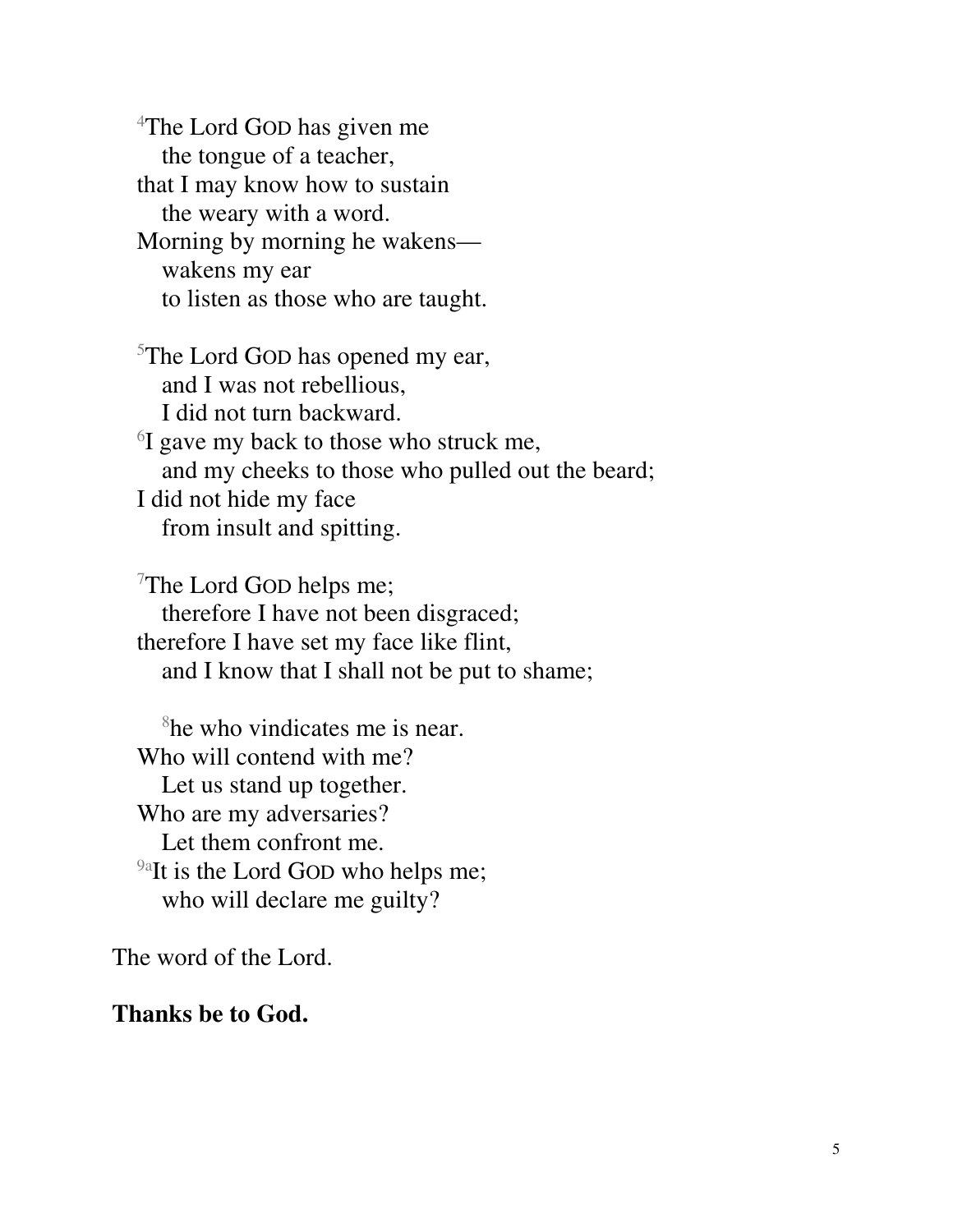<sup>4</sup>The Lord GOD has given me the tongue of a teacher, that I may know how to sustain the weary with a word. Morning by morning he wakens wakens my ear to listen as those who are taught.

<sup>5</sup>The Lord GOD has opened my ear, and I was not rebellious, I did not turn backward.

<sup>6</sup>I gave my back to those who struck me, and my cheeks to those who pulled out the beard;

 I did not hide my face from insult and spitting.

 $7$ The Lord GOD helps me; therefore I have not been disgraced; therefore I have set my face like flint, and I know that I shall not be put to shame;

 $8$ he who vindicates me is near. Who will contend with me? Let us stand up together. Who are my adversaries? Let them confront me.  $9a$ It is the Lord GOD who helps me; who will declare me guilty?

The word of the Lord.

**Thanks be to God.**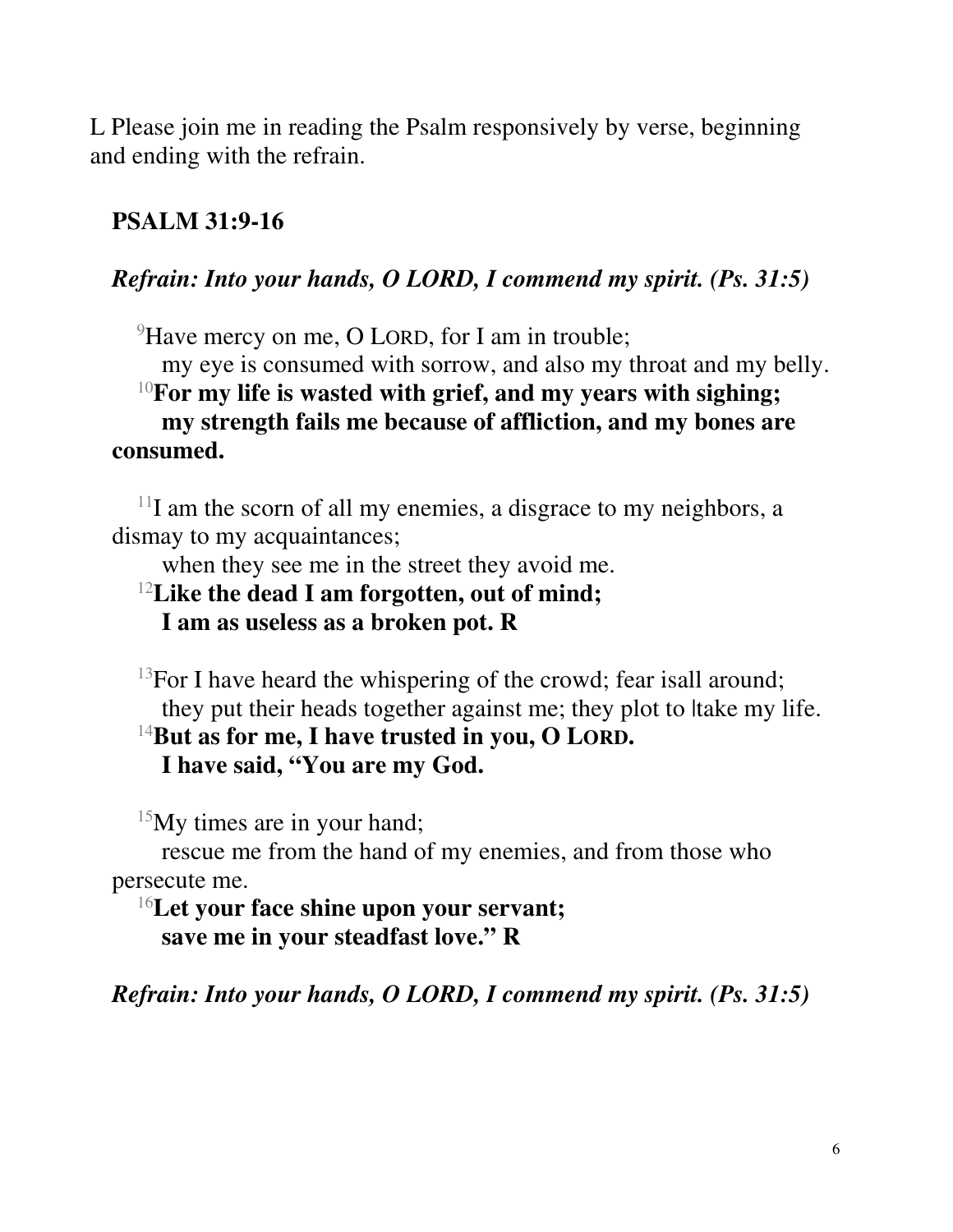L Please join me in reading the Psalm responsively by verse, beginning and ending with the refrain.

#### **PSALM 31:9-16**

#### *Refrain: Into your hands, O LORD, I commend my spirit. (Ps. 31:5)*

<sup>9</sup>Have mercy on me, O LORD, for I am in trouble;

my eye is consumed with sorrow, and also my throat and my belly.

#### <sup>10</sup>**For my life is wasted with grief, and my years with sighing; my strength fails me because of affliction, and my bones are consumed.**

 $11$ I am the scorn of all my enemies, a disgrace to my neighbors, a dismay to my acquaintances;

when they see me in the street they avoid me.

#### <sup>12</sup>**Like the dead I am forgotten, out of mind; I am as useless as a broken pot. R**

 $13$ For I have heard the whispering of the crowd; fear isall around; they put their heads together against me; they plot to ltake my life.

<sup>14</sup>**But as for me, I have trusted in you, O LORD. I have said, "You are my God.**

 $15$ My times are in your hand;

 rescue me from the hand of my enemies, and from those who persecute me.

<sup>16</sup>**Let your face shine upon your servant; save me in your steadfast love." R**

*Refrain: Into your hands, O LORD, I commend my spirit. (Ps. 31:5)*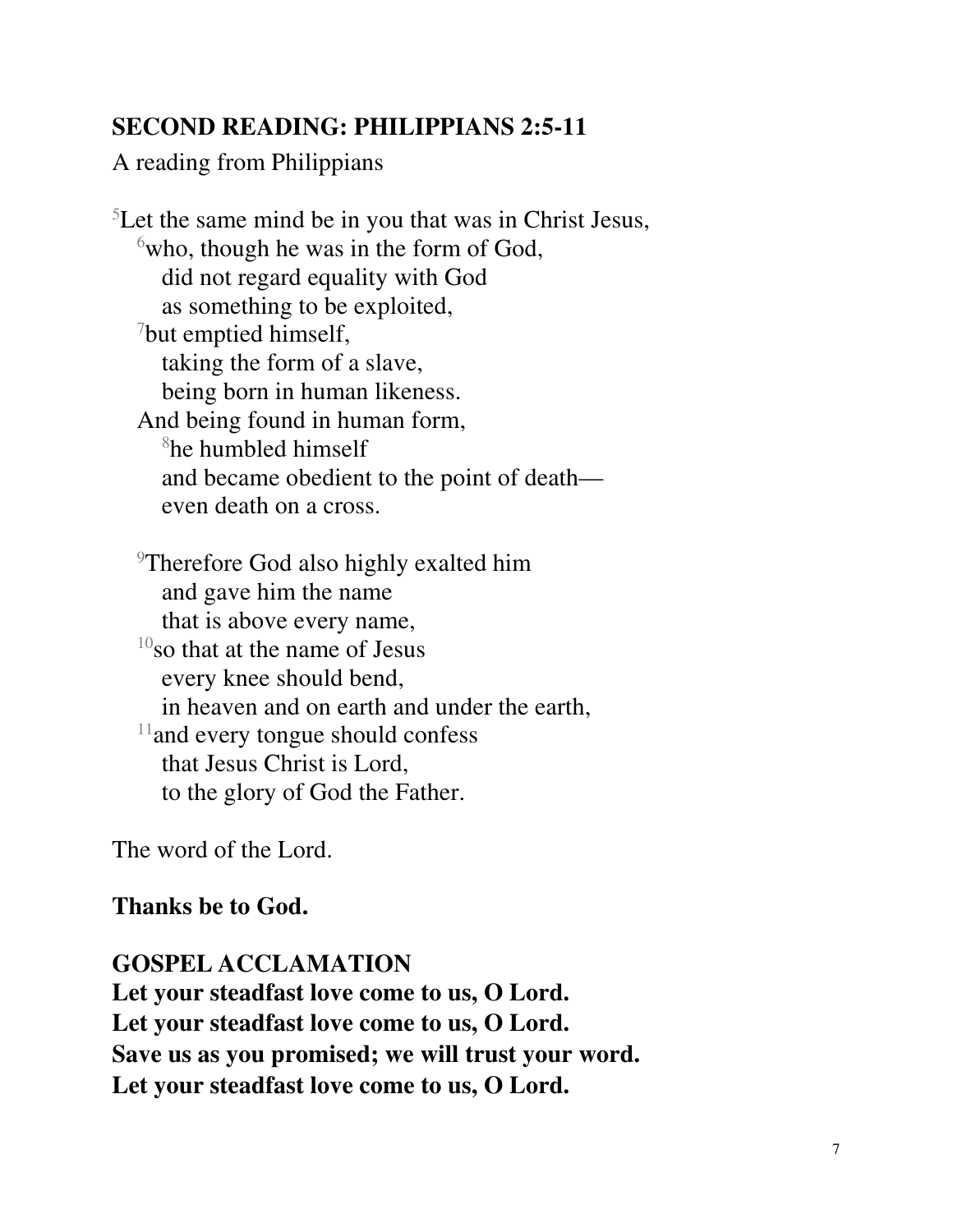#### **SECOND READING: PHILIPPIANS 2:5-11**

A reading from Philippians

<sup>5</sup>Let the same mind be in you that was in Christ Jesus,  $6$ who, though he was in the form of God, did not regard equality with God as something to be exploited, <sup>7</sup>but emptied himself, taking the form of a slave, being born in human likeness. And being found in human form, <sup>8</sup>he humbled himself and became obedient to the point of death even death on a cross. <sup>9</sup>Therefore God also highly exalted him and gave him the name that is above every name,  $10$ so that at the name of Jesus every knee should bend, in heaven and on earth and under the earth,

 $11$  and every tongue should confess that Jesus Christ is Lord, to the glory of God the Father.

The word of the Lord.

## **Thanks be to God.**

## **GOSPEL ACCLAMATION**

**Let your steadfast love come to us, O Lord. Let your steadfast love come to us, O Lord. Save us as you promised; we will trust your word. Let your steadfast love come to us, O Lord.**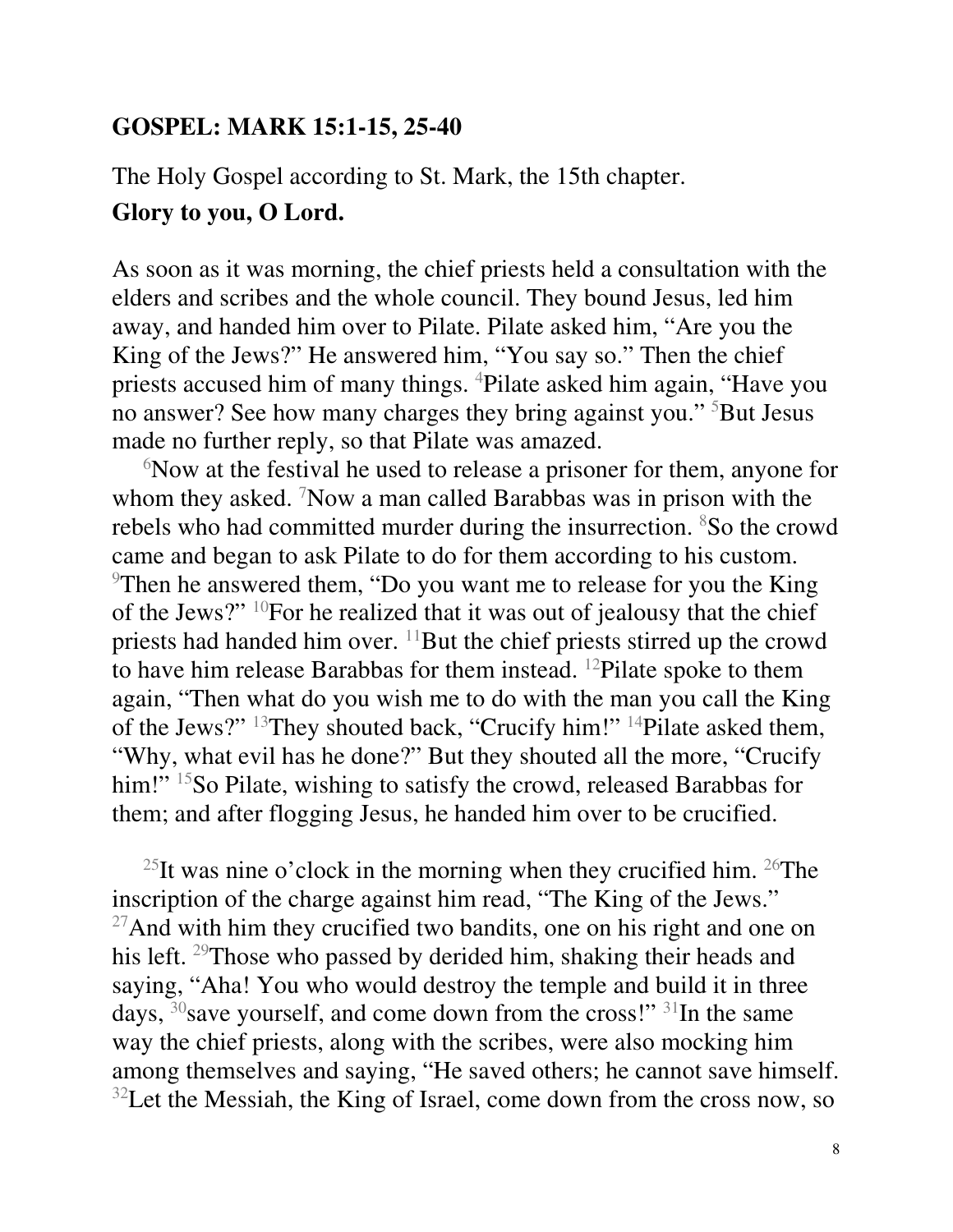#### **GOSPEL: MARK 15:1-15, 25-40**

The Holy Gospel according to St. Mark, the 15th chapter. **Glory to you, O Lord.** 

As soon as it was morning, the chief priests held a consultation with the elders and scribes and the whole council. They bound Jesus, led him away, and handed him over to Pilate. Pilate asked him, "Are you the King of the Jews?" He answered him, "You say so." Then the chief priests accused him of many things. <sup>4</sup>Pilate asked him again, "Have you no answer? See how many charges they bring against you." <sup>5</sup>But Jesus made no further reply, so that Pilate was amazed.

 $6$ Now at the festival he used to release a prisoner for them, anyone for whom they asked. <sup>7</sup>Now a man called Barabbas was in prison with the rebels who had committed murder during the insurrection. <sup>8</sup>So the crowd came and began to ask Pilate to do for them according to his custom. <sup>9</sup>Then he answered them, "Do you want me to release for you the King of the Jews?" <sup>10</sup>For he realized that it was out of jealousy that the chief priests had handed him over.  $^{11}$ But the chief priests stirred up the crowd to have him release Barabbas for them instead. <sup>12</sup>Pilate spoke to them again, "Then what do you wish me to do with the man you call the King of the Jews?"  $^{13}$ They shouted back, "Crucify him!"  $^{14}$ Pilate asked them, "Why, what evil has he done?" But they shouted all the more, "Crucify him!" <sup>15</sup>So Pilate, wishing to satisfy the crowd, released Barabbas for them; and after flogging Jesus, he handed him over to be crucified.

<sup>25</sup>It was nine o'clock in the morning when they crucified him. <sup>26</sup>The inscription of the charge against him read, "The King of the Jews."  $27$ And with him they crucified two bandits, one on his right and one on his left. <sup>29</sup>Those who passed by derided him, shaking their heads and saying, "Aha! You who would destroy the temple and build it in three days, <sup>30</sup>save yourself, and come down from the cross!" <sup>31</sup>In the same way the chief priests, along with the scribes, were also mocking him among themselves and saying, "He saved others; he cannot save himself.  $32$ Let the Messiah, the King of Israel, come down from the cross now, so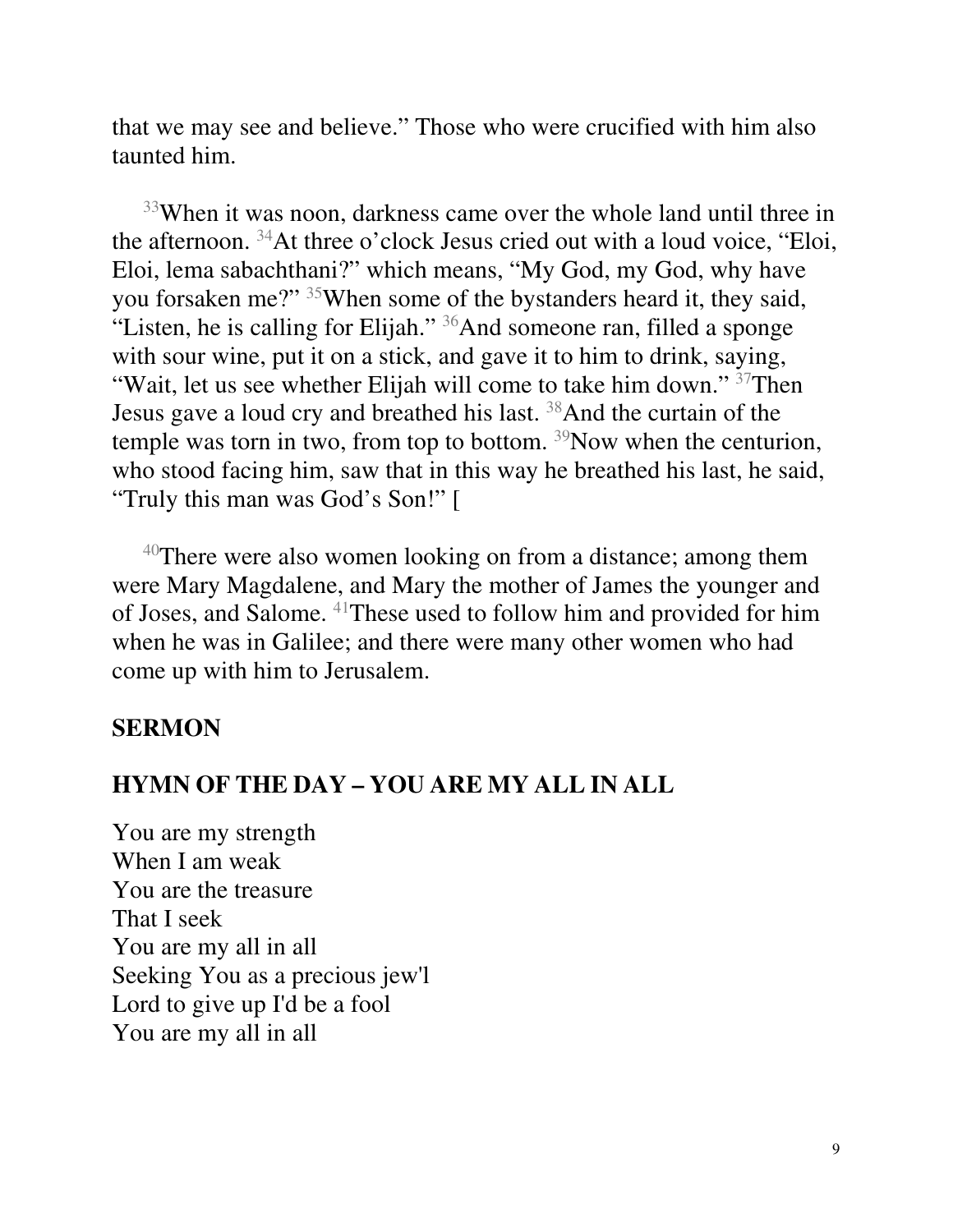that we may see and believe." Those who were crucified with him also taunted him.

 $33$ When it was noon, darkness came over the whole land until three in the afternoon. <sup>34</sup>At three o'clock Jesus cried out with a loud voice, "Eloi, Eloi, lema sabachthani?" which means, "My God, my God, why have you forsaken me?" <sup>35</sup>When some of the bystanders heard it, they said, "Listen, he is calling for Elijah." <sup>36</sup>And someone ran, filled a sponge with sour wine, put it on a stick, and gave it to him to drink, saying, "Wait, let us see whether Elijah will come to take him down." <sup>37</sup>Then Jesus gave a loud cry and breathed his last. <sup>38</sup>And the curtain of the temple was torn in two, from top to bottom. <sup>39</sup>Now when the centurion, who stood facing him, saw that in this way he breathed his last, he said, "Truly this man was God's Son!" [

 $40$ There were also women looking on from a distance; among them were Mary Magdalene, and Mary the mother of James the younger and of Joses, and Salome. <sup>41</sup>These used to follow him and provided for him when he was in Galilee; and there were many other women who had come up with him to Jerusalem.

#### **SERMON**

#### **HYMN OF THE DAY – YOU ARE MY ALL IN ALL**

You are my strength When I am weak You are the treasure That I seek You are my all in all Seeking You as a precious jew'l Lord to give up I'd be a fool You are my all in all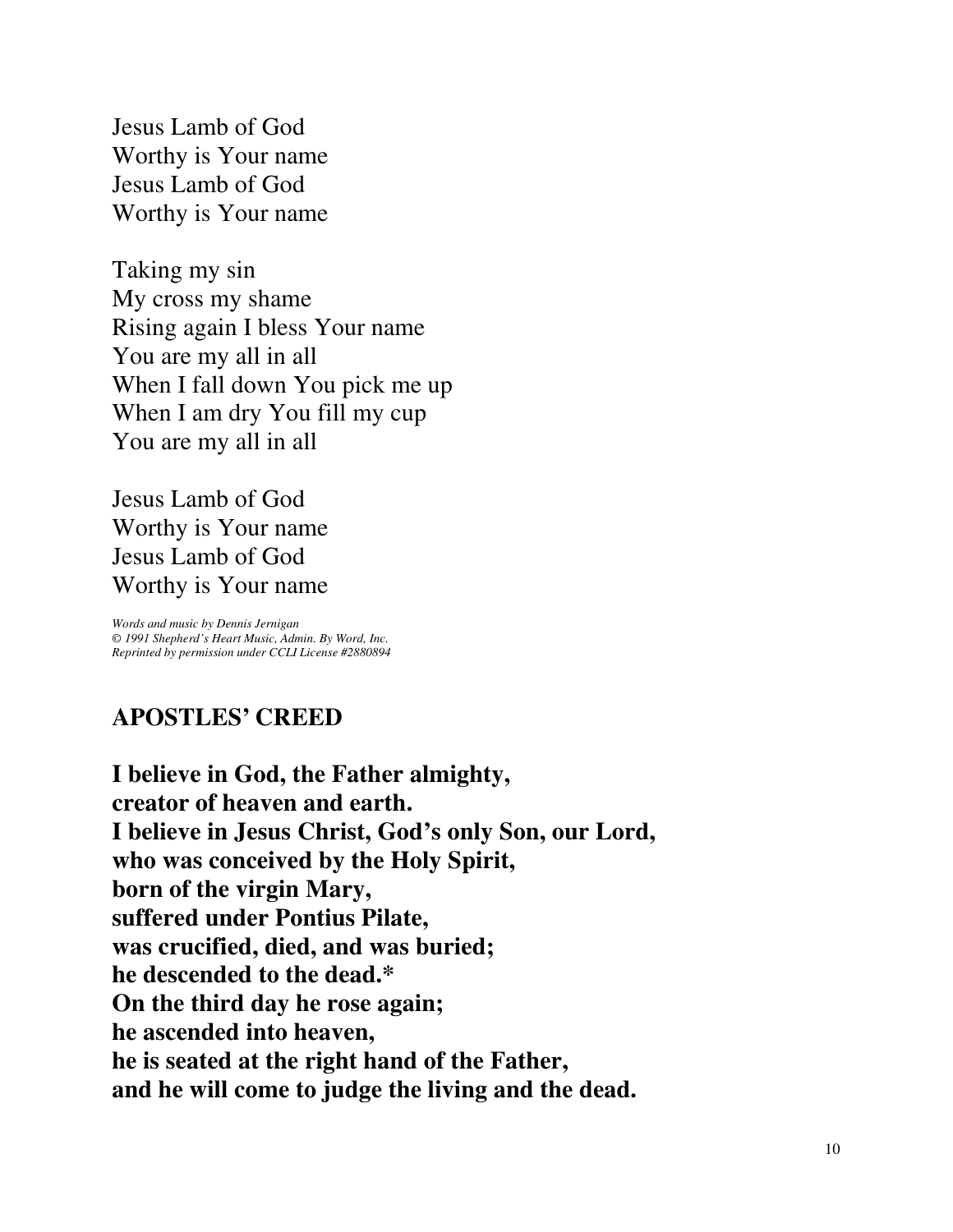Jesus Lamb of God Worthy is Your name Jesus Lamb of God Worthy is Your name

Taking my sin My cross my shame Rising again I bless Your name You are my all in all When I fall down You pick me up When I am dry You fill my cup You are my all in all

Jesus Lamb of God Worthy is Your name Jesus Lamb of God Worthy is Your name

*Words and music by Dennis Jernigan © 1991 Shepherd's Heart Music, Admin. By Word, Inc. Reprinted by permission under CCLI License #2880894*

#### **APOSTLES' CREED**

**I believe in God, the Father almighty, creator of heaven and earth. I believe in Jesus Christ, God's only Son, our Lord, who was conceived by the Holy Spirit, born of the virgin Mary, suffered under Pontius Pilate, was crucified, died, and was buried; he descended to the dead.\* On the third day he rose again; he ascended into heaven, he is seated at the right hand of the Father, and he will come to judge the living and the dead.**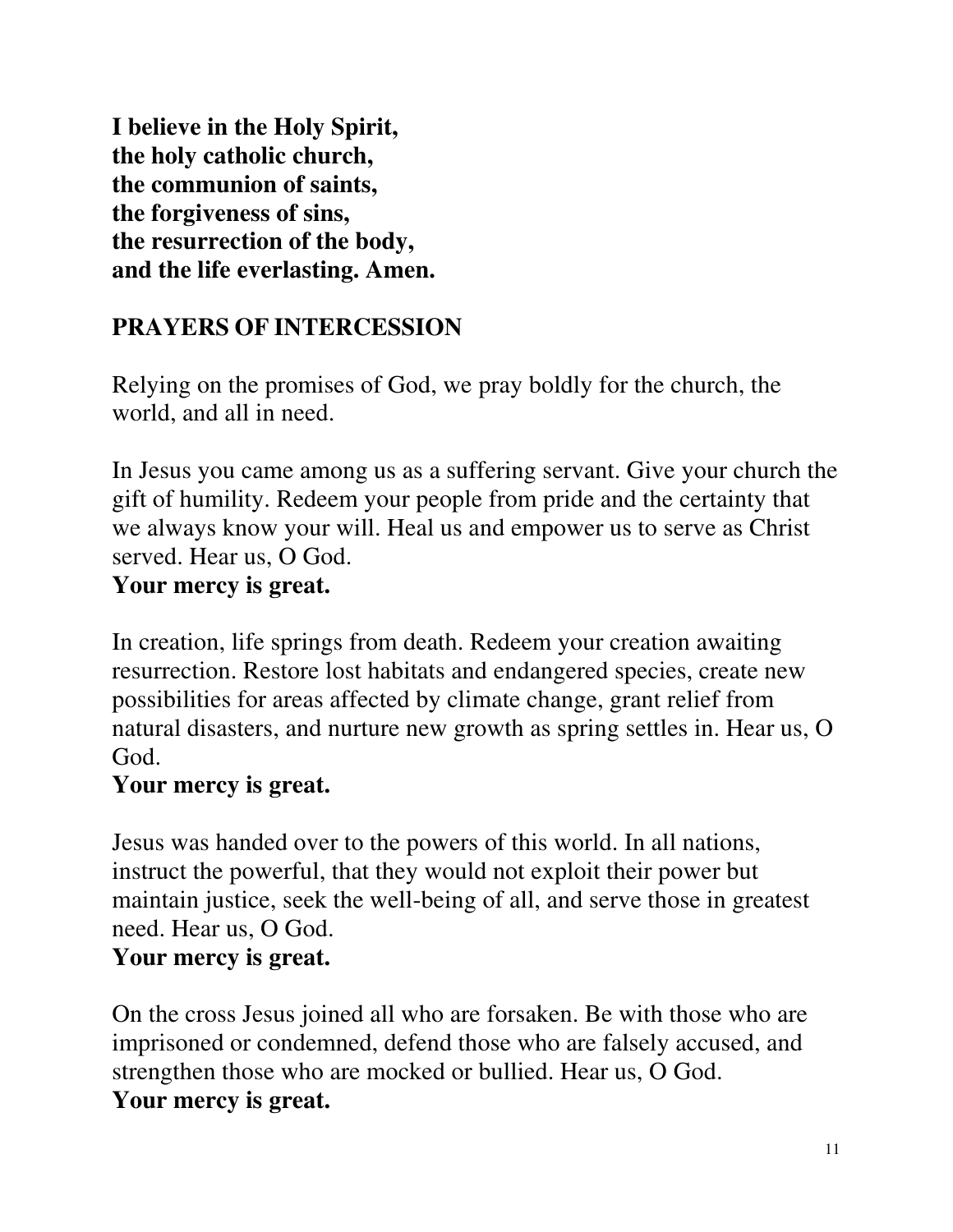**I believe in the Holy Spirit, the holy catholic church, the communion of saints, the forgiveness of sins, the resurrection of the body, and the life everlasting. Amen.**

## **PRAYERS OF INTERCESSION**

Relying on the promises of God, we pray boldly for the church, the world, and all in need.

In Jesus you came among us as a suffering servant. Give your church the gift of humility. Redeem your people from pride and the certainty that we always know your will. Heal us and empower us to serve as Christ served. Hear us, O God.

#### **Your mercy is great.**

In creation, life springs from death. Redeem your creation awaiting resurrection. Restore lost habitats and endangered species, create new possibilities for areas affected by climate change, grant relief from natural disasters, and nurture new growth as spring settles in. Hear us, O God.

#### **Your mercy is great.**

Jesus was handed over to the powers of this world. In all nations, instruct the powerful, that they would not exploit their power but maintain justice, seek the well-being of all, and serve those in greatest need. Hear us, O God.

#### **Your mercy is great.**

On the cross Jesus joined all who are forsaken. Be with those who are imprisoned or condemned, defend those who are falsely accused, and strengthen those who are mocked or bullied. Hear us, O God. **Your mercy is great.**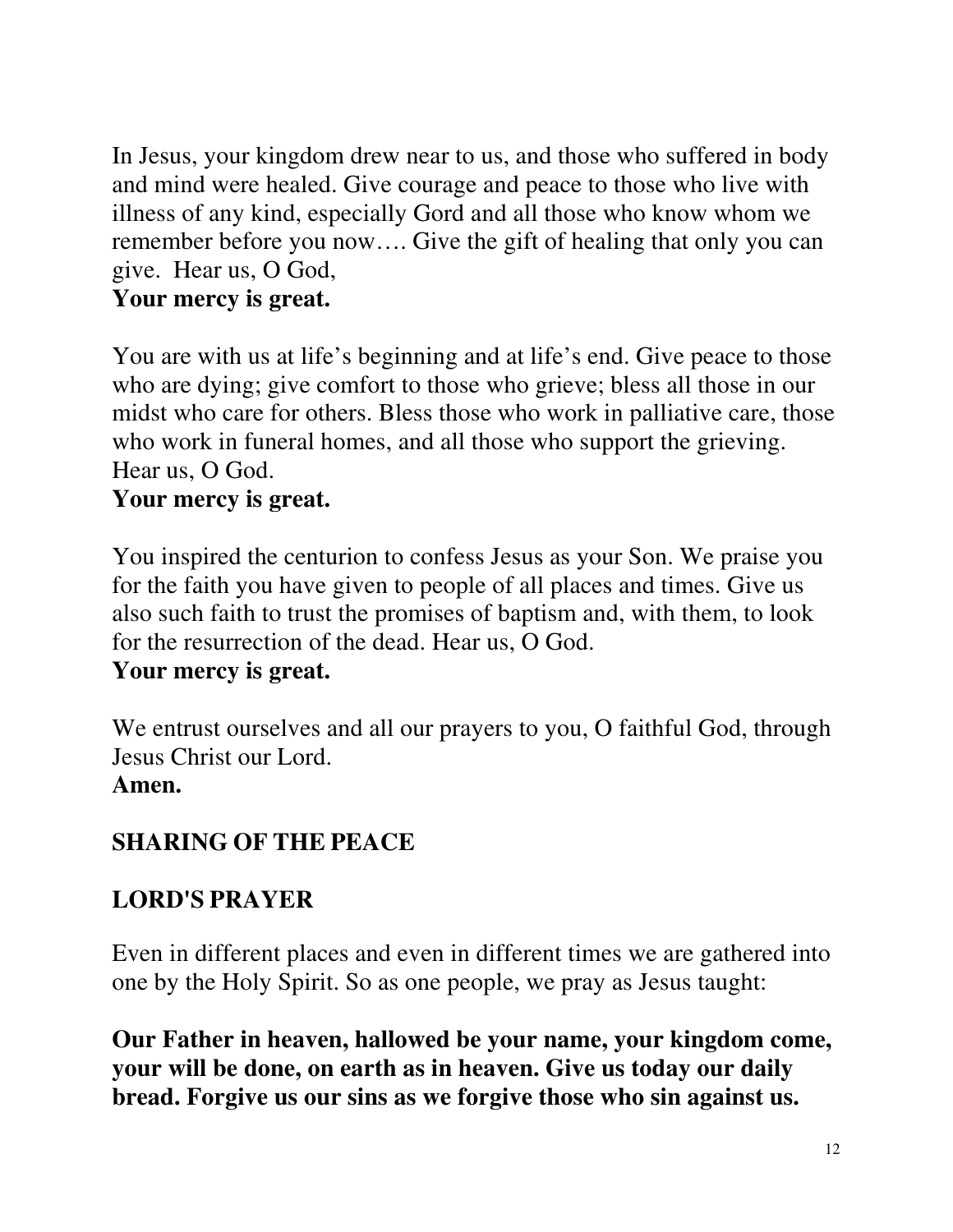In Jesus, your kingdom drew near to us, and those who suffered in body and mind were healed. Give courage and peace to those who live with illness of any kind, especially Gord and all those who know whom we remember before you now…. Give the gift of healing that only you can give. Hear us, O God,

## **Your mercy is great.**

You are with us at life's beginning and at life's end. Give peace to those who are dying; give comfort to those who grieve; bless all those in our midst who care for others. Bless those who work in palliative care, those who work in funeral homes, and all those who support the grieving. Hear us, O God.

## **Your mercy is great.**

You inspired the centurion to confess Jesus as your Son. We praise you for the faith you have given to people of all places and times. Give us also such faith to trust the promises of baptism and, with them, to look for the resurrection of the dead. Hear us, O God.

#### **Your mercy is great.**

We entrust ourselves and all our prayers to you, O faithful God, through Jesus Christ our Lord. **Amen.**

## **SHARING OF THE PEACE**

## **LORD'S PRAYER**

Even in different places and even in different times we are gathered into one by the Holy Spirit. So as one people, we pray as Jesus taught:

**Our Father in heaven, hallowed be your name, your kingdom come, your will be done, on earth as in heaven. Give us today our daily bread. Forgive us our sins as we forgive those who sin against us.**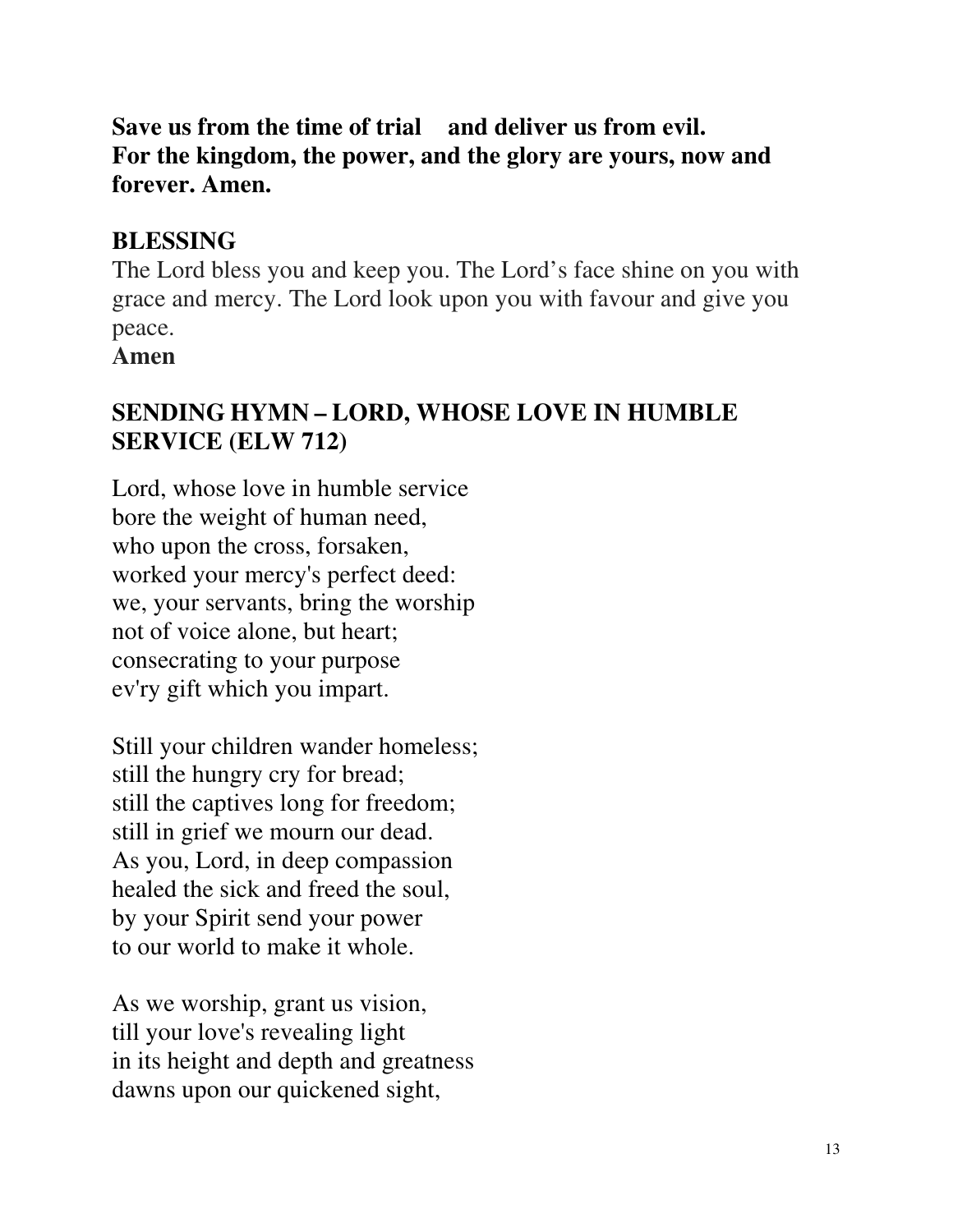## **Save us from the time of trial and deliver us from evil. For the kingdom, the power, and the glory are yours, now and forever. Amen.**

## **BLESSING**

The Lord bless you and keep you. The Lord's face shine on you with grace and mercy. The Lord look upon you with favour and give you peace.

**Amen** 

## **SENDING HYMN – LORD, WHOSE LOVE IN HUMBLE SERVICE (ELW 712)**

Lord, whose love in humble service bore the weight of human need, who upon the cross, forsaken, worked your mercy's perfect deed: we, your servants, bring the worship not of voice alone, but heart; consecrating to your purpose ev'ry gift which you impart.

Still your children wander homeless; still the hungry cry for bread; still the captives long for freedom; still in grief we mourn our dead. As you, Lord, in deep compassion healed the sick and freed the soul, by your Spirit send your power to our world to make it whole.

As we worship, grant us vision, till your love's revealing light in its height and depth and greatness dawns upon our quickened sight,